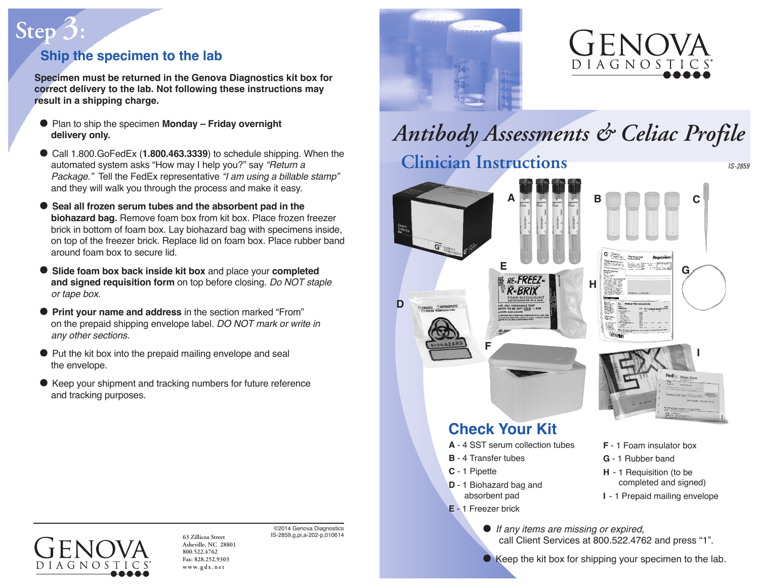# **Ship the specimen to the lab**

 $Step<sup>7</sup>$ 

**Specimen must be returned in the Genova Diagnostics kit box for correct delivery to the lab. Not following these instructions may result in a shipping charge.**

- Plan to ship the specimen **Monday – Friday overnight delivery only.**
- Call 1.800.GoFedEx (**1.800.463.3339**) to schedule shipping. When the automated system asks "How may I help you?" say "Return a Package." Tell the FedEx representative "I am using a billable stamp" and they will walk you through the process and make it easy.
- **Seal all frozen serum tubes and the absorbent pad in the biohazard bag.** Remove foam box from kit box. Place frozen freezer brick in bottom of foam box. Lay biohazard bag with specimens inside, on top of the freezer brick. Replace lid on foam box. Place rubber band around foam box to secure lid.
- **Slide foam box back inside kit box** and place your **completed and signed requisition form** on top before closing. Do NOT staple or tape box.
- **Print your name and address** in the section marked "From" on the prepaid shipping envelope label. DO NOT mark or write in any other sections.
- Put the kit box into the prepaid mailing envelope and seal the envelope.
- Keep your shipment and tracking numbers for future reference and tracking purposes.





# *Antibody Assessments & Celiac Profile* **Clinician Instructions** *IS-2859*





**• Keep the kit box for shipping your specimen to the lab.** 

**63 Zillicoa Street Asheville, NC 28801 800.522.4762 Fax: 828.252.9303 www. g d x . n e t**

AGNO

©2014 Genova Diagnostics IS-2859,g,pi,a-202-p,010614